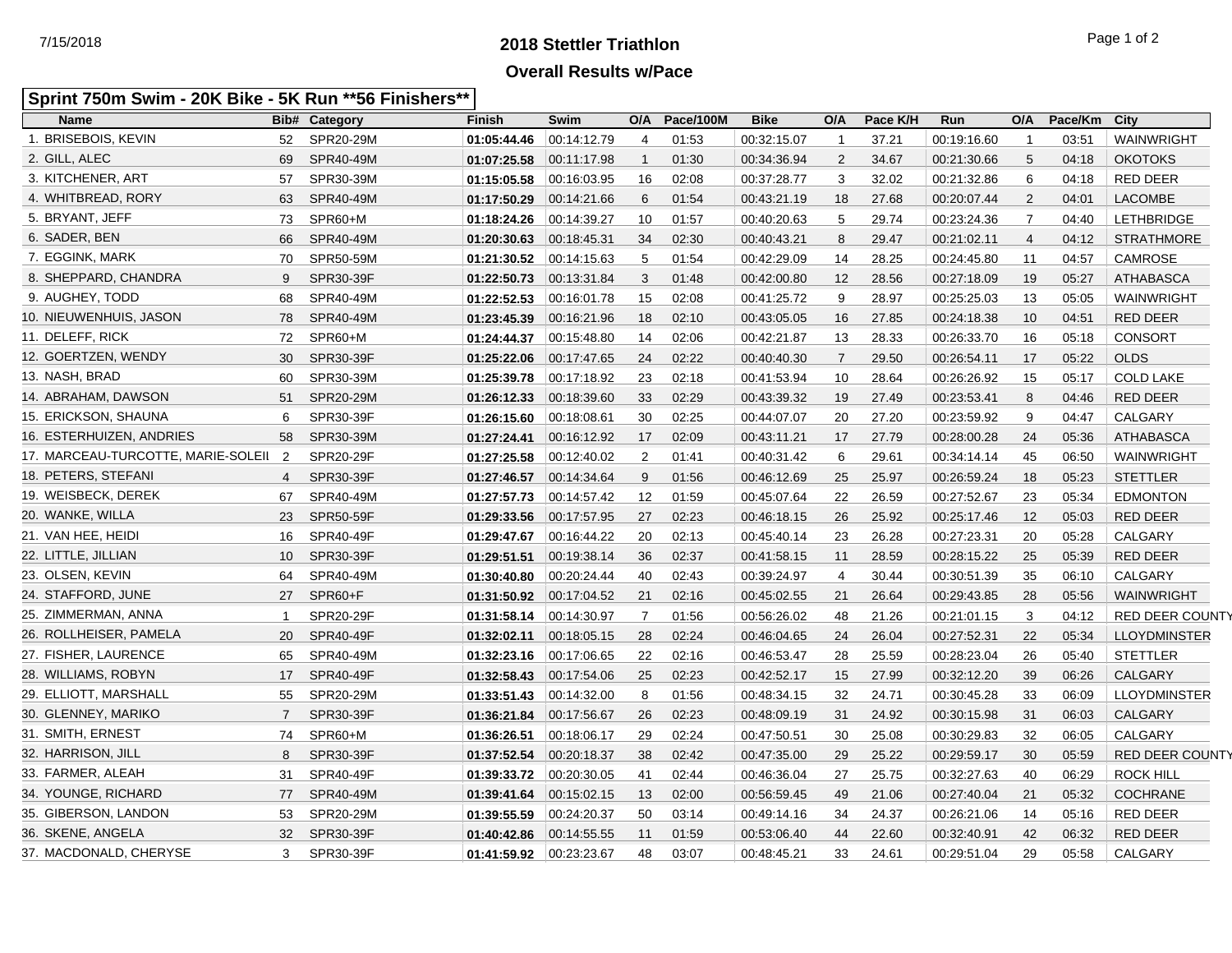## **2018 Stettler Triathlon** 7/15/2018 Page 1 of 2 **Overall Results w/Pace**

## **Sprint 750m Swim - 20K Bike - 5K Run \*\*56 Finishers\*\***

| <b>Name</b>                          |                | <b>Bib# Category</b> | <b>Finish</b>           | Swim        | O/A            | Pace/100M | <b>Bike</b> | O/A            | Pace K/H | Run         | O/A            | Pace/Km | City                   |
|--------------------------------------|----------------|----------------------|-------------------------|-------------|----------------|-----------|-------------|----------------|----------|-------------|----------------|---------|------------------------|
| 1. BRISEBOIS, KEVIN                  | 52             | SPR20-29M            | 01:05:44.46 00:14:12.79 |             | 4              | 01:53     | 00:32:15.07 | $\mathbf{1}$   | 37.21    | 00:19:16.60 | $\mathbf{1}$   | 03:51   | WAINWRIGHT             |
| 2. GILL, ALEC                        | 69             | SPR40-49M            | 01:07:25.58             | 00.11.17.98 | $\mathbf{1}$   | 01:30     | 00:34:36.94 | $\overline{2}$ | 34.67    | 00:21:30.66 | 5              | 04:18   | <b>OKOTOKS</b>         |
| 3. KITCHENER, ART                    | 57             | SPR30-39M            | 01:15:05.58             | 00.16.03.95 | 16             | 02:08     | 00:37:28.77 | 3              | 32.02    | 00:21:32.86 | 6              | 04:18   | RED DEER               |
| 4. WHITBREAD, RORY                   | 63             | SPR40-49M            | 01:17:50.29             | 00:14:21.66 | 6              | 01:54     | 00:43:21.19 | 18             | 27.68    | 00:20:07.44 | $\overline{2}$ | 04:01   | <b>LACOMBE</b>         |
| 5. BRYANT, JEFF                      | 73             | SPR60+M              | 01:18:24.26             | 00:14:39.27 | 10             | 01:57     | 00:40:20.63 | 5              | 29.74    | 00:23:24.36 | $\overline{7}$ | 04:40   | <b>LETHBRIDGE</b>      |
| 6. SADER, BEN                        | 66             | SPR40-49M            | 01:20:30.63             | 00.18.45.31 | 34             | 02:30     | 00:40:43.21 | 8              | 29.47    | 00:21:02.11 | $\overline{4}$ | 04:12   | <b>STRATHMORE</b>      |
| 7. EGGINK, MARK                      | 70             | SPR50-59M            | 01:21:30.52             | 00:14:15.63 | 5              | 01:54     | 00:42:29.09 | 14             | 28.25    | 00:24:45.80 | 11             | 04:57   | CAMROSE                |
| 8. SHEPPARD, CHANDRA                 | 9              | SPR30-39F            | 01:22:50.73             | 00:13:31.84 | 3              | 01:48     | 00:42:00.80 | 12             | 28.56    | 00:27:18.09 | 19             | 05:27   | <b>ATHABASCA</b>       |
| 9. AUGHEY, TODD                      | 68             | SPR40-49M            | 01:22:52.53             | 00:16:01.78 | 15             | 02:08     | 00:41:25.72 | 9              | 28.97    | 00:25:25.03 | 13             | 05:05   | <b>WAINWRIGHT</b>      |
| 10. NIEUWENHUIS, JASON               | 78             | SPR40-49M            | 01:23:45.39             | 00:16:21.96 | 18             | 02:10     | 00:43:05.05 | 16             | 27.85    | 00:24:18.38 | 10             | 04:51   | <b>RED DEER</b>        |
| 11. DELEFF, RICK                     | 72             | SPR60+M              | 01:24:44.37             | 00:15:48.80 | 14             | 02:06     | 00:42:21.87 | 13             | 28.33    | 00:26:33.70 | 16             | 05:18   | <b>CONSORT</b>         |
| 12. GOERTZEN, WENDY                  | 30             | SPR30-39F            | 01:25:22.06             | 00:17:47.65 | 24             | 02:22     | 00:40:40.30 | $\overline{7}$ | 29.50    | 00:26:54.11 | 17             | 05:22   | <b>OLDS</b>            |
| 13. NASH, BRAD                       | 60             | SPR30-39M            | 01:25:39.78             | 00:17:18.92 | 23             | 02:18     | 00:41:53.94 | 10             | 28.64    | 00:26:26.92 | 15             | 05:17   | <b>COLD LAKE</b>       |
| 14. ABRAHAM, DAWSON                  | 51             | SPR20-29M            | 01:26:12.33             | 00:18:39.60 | 33             | 02:29     | 00:43:39.32 | 19             | 27.49    | 00:23:53.41 | 8              | 04:46   | <b>RED DEER</b>        |
| 15. ERICKSON, SHAUNA                 | 6              | SPR30-39F            | 01:26:15.60             | 00:18:08.61 | 30             | 02:25     | 00:44:07.07 | 20             | 27.20    | 00:23:59.92 | 9              | 04:47   | CALGARY                |
| 16. ESTERHUIZEN, ANDRIES             | 58             | SPR30-39M            | 01:27:24.41             | 00:16:12.92 | 17             | 02:09     | 00:43:11.21 | 17             | 27.79    | 00:28:00.28 | 24             | 05:36   | <b>ATHABASCA</b>       |
| 17. MARCEAU-TURCOTTE, MARIE-SOLEII 2 |                | SPR20-29F            | 01:27:25.58             | 00:12:40.02 | 2              | 01:41     | 00:40:31.42 | 6              | 29.61    | 00:34:14.14 | 45             | 06:50   | WAINWRIGHT             |
| 18. PETERS, STEFANI                  | 4              | SPR30-39F            | 01:27:46.57             | 00:14:34.64 | 9              | 01:56     | 00:46:12.69 | 25             | 25.97    | 00:26:59.24 | 18             | 05:23   | <b>STETTLER</b>        |
| 19. WEISBECK, DEREK                  | 67             | SPR40-49M            | 01:27:57.73             | 00.14.57.42 | 12             | 01:59     | 00:45:07.64 | 22             | 26.59    | 00:27:52.67 | 23             | 05:34   | <b>EDMONTON</b>        |
| 20. WANKE, WILLA                     | 23             | <b>SPR50-59F</b>     | 01:29:33.56             | 00:17:57.95 | 27             | 02:23     | 00:46:18.15 | 26             | 25.92    | 00:25:17.46 | 12             | 05:03   | <b>RED DEER</b>        |
| 21. VAN HEE, HEIDI                   | 16             | SPR40-49F            | 01:29:47.67             | 00:16:44.22 | 20             | 02:13     | 00:45:40.14 | 23             | 26.28    | 00:27:23.31 | 20             | 05:28   | CALGARY                |
| 22. LITTLE, JILLIAN                  | 10             | SPR30-39F            | 01:29:51.51             | 00.19.38.14 | 36             | 02:37     | 00:41:58.15 | 11             | 28.59    | 00:28:15.22 | 25             | 05:39   | <b>RED DEER</b>        |
| 23. OLSEN, KEVIN                     | 64             | SPR40-49M            | 01:30:40.80             | 00:20:24.44 | 40             | 02:43     | 00:39:24.97 | $\overline{4}$ | 30.44    | 00:30:51.39 | 35             | 06:10   | CALGARY                |
| 24. STAFFORD, JUNE                   | 27             | SPR60+F              | 01:31:50.92 00:17:04.52 |             | 21             | 02:16     | 00:45:02.55 | 21             | 26.64    | 00:29:43.85 | 28             | 05:56   | <b>WAINWRIGHT</b>      |
| 25. ZIMMERMAN, ANNA                  | $\mathbf{1}$   | SPR20-29F            | 01:31:58.14             | 00.14.30.97 | $\overline{7}$ | 01:56     | 00:56:26.02 | 48             | 21.26    | 00:21:01.15 | 3              | 04:12   | <b>RED DEER COUNTY</b> |
| 26. ROLLHEISER, PAMELA               | 20             | SPR40-49F            | 01:32:02.11             | 00:18:05.15 | 28             | 02:24     | 00:46:04.65 | 24             | 26.04    | 00:27:52.31 | 22             | 05:34   | <b>LLOYDMINSTER</b>    |
| 27. FISHER, LAURENCE                 | 65             | SPR40-49M            | 01:32:23.16             | 00:17:06.65 | 22             | 02:16     | 00:46:53.47 | 28             | 25.59    | 00:28:23.04 | 26             | 05:40   | <b>STETTLER</b>        |
| 28. WILLIAMS, ROBYN                  | 17             | SPR40-49F            | 01:32:58.43             | 00.17.54.06 | 25             | 02:23     | 00:42:52.17 | 15             | 27.99    | 00:32:12.20 | 39             | 06:26   | CALGARY                |
| 29. ELLIOTT, MARSHALL                | 55             | SPR20-29M            | 01:33:51.43             | 00:14:32.00 | 8              | 01:56     | 00:48:34.15 | 32             | 24.71    | 00:30:45.28 | 33             | 06:09   | <b>LLOYDMINSTER</b>    |
| 30. GLENNEY, MARIKO                  | $\overline{7}$ | SPR30-39F            | 01:36:21.84             | 00:17:56.67 | 26             | 02:23     | 00:48:09.19 | 31             | 24.92    | 00:30:15.98 | 31             | 06:03   | CALGARY                |
| 31. SMITH, ERNEST                    | 74             | SPR60+M              | 01:36:26.51             | 00:18:06.17 | 29             | 02:24     | 00:47:50.51 | 30             | 25.08    | 00:30:29.83 | 32             | 06:05   | CALGARY                |
| 32. HARRISON, JILL                   | 8              | SPR30-39F            | 01:37:52.54             | 00:20:18.37 | 38             | 02:42     | 00:47:35.00 | 29             | 25.22    | 00:29:59.17 | 30             | 05:59   | <b>RED DEER COUNTY</b> |
| 33. FARMER, ALEAH                    | 31             | SPR40-49F            | 01:39:33.72             | 00:20:30.05 | 41             | 02:44     | 00:46:36.04 | 27             | 25.75    | 00:32:27.63 | 40             | 06:29   | <b>ROCK HILL</b>       |
| 34. YOUNGE, RICHARD                  | 77             | SPR40-49M            | 01:39:41.64             | 00:15:02.15 | 13             | 02:00     | 00:56:59.45 | 49             | 21.06    | 00:27:40.04 | 21             | 05:32   | <b>COCHRANE</b>        |
| 35. GIBERSON, LANDON                 | 53             | SPR20-29M            | 01:39:55.59             | 00:24:20.37 | 50             | 03:14     | 00:49:14.16 | 34             | 24.37    | 00:26:21.06 | 14             | 05:16   | <b>RED DEER</b>        |
| 36. SKENE, ANGELA                    | 32             | SPR30-39F            | 01:40:42.86             | 00:14:55.55 | 11             | 01:59     | 00:53:06.40 | 44             | 22.60    | 00:32:40.91 | 42             | 06:32   | <b>RED DEER</b>        |
| 37. MACDONALD, CHERYSE               | 3              | SPR30-39F            | 01:41:59.92             | 00:23:23.67 | 48             | 03:07     | 00:48:45.21 | 33             | 24.61    | 00:29:51.04 | 29             | 05:58   | CALGARY                |